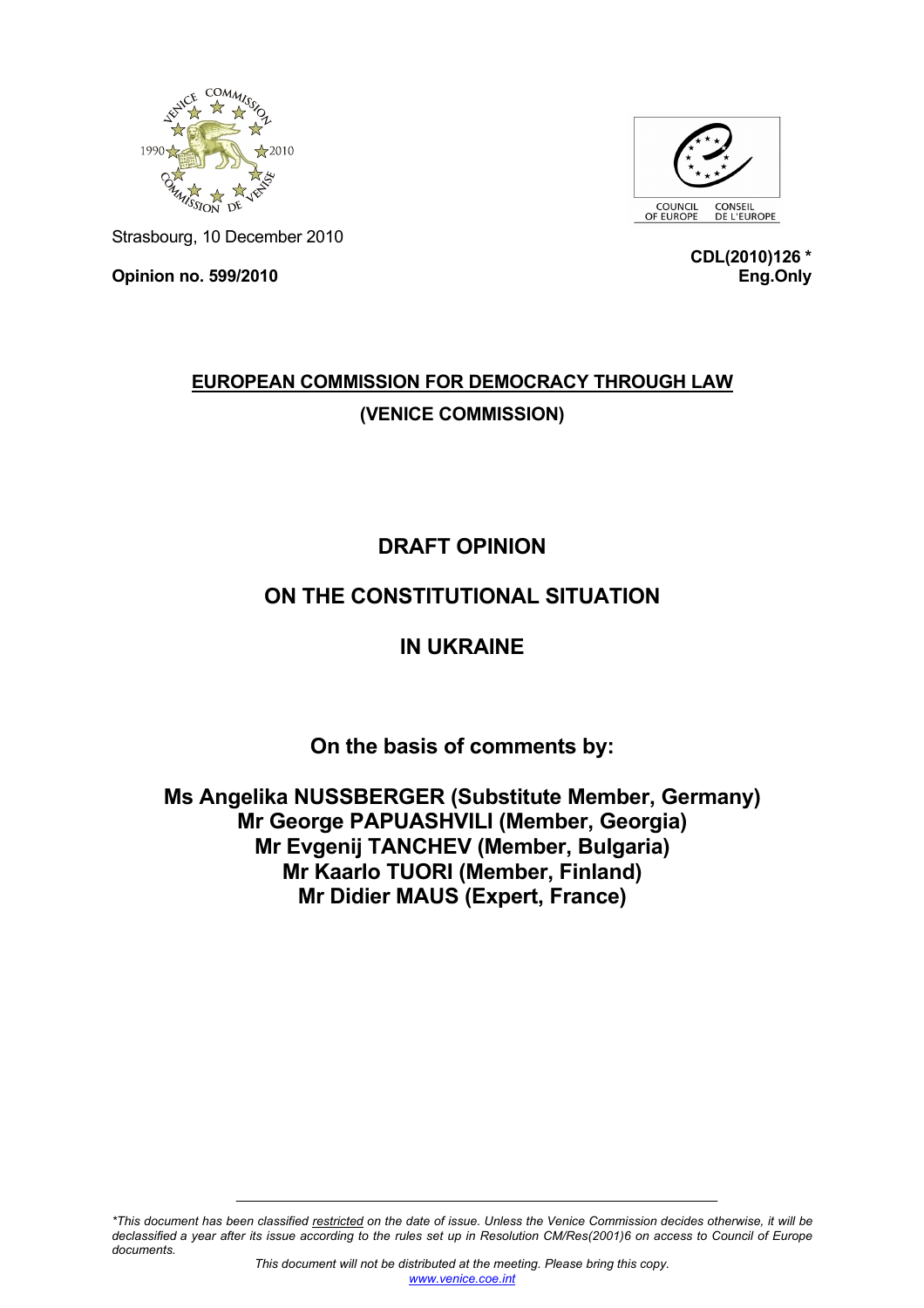



Strasbourg, 10 December 2010

**Opinion no. 599/2010** 

**CDL(2010)126 \* Eng.Only**

# **EUROPEAN COMMISSION FOR DEMOCRACY THROUGH LAW (VENICE COMMISSION)**

# **DRAFT OPINION**

### **ON THE CONSTITUTIONAL SITUATION**

## **IN UKRAINE**

**On the basis of comments by:** 

**Ms Angelika NUSSBERGER (Substitute Member, Germany) Mr George PAPUASHVILI (Member, Georgia) Mr Evgenij TANCHEV (Member, Bulgaria) Mr Kaarlo TUORI (Member, Finland) Mr Didier MAUS (Expert, France)** 

*\*This document has been classified restricted on the date of issue. Unless the Venice Commission decides otherwise, it will be declassified a year after its issue according to the rules set up in Resolution CM/Res(2001)6 on access to Council of Europe documents.*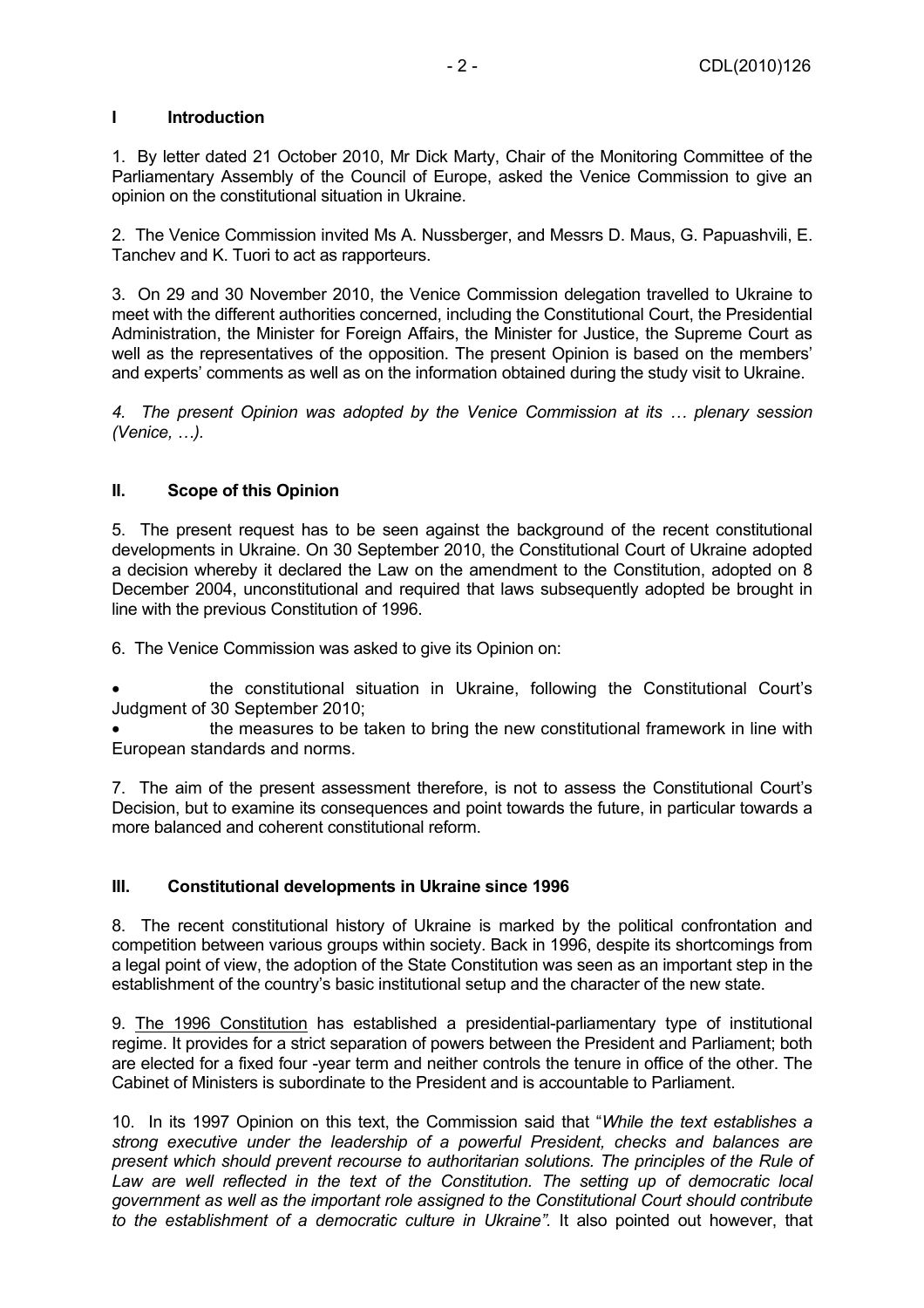### **I Introduction**

1. By letter dated 21 October 2010, Mr Dick Marty, Chair of the Monitoring Committee of the Parliamentary Assembly of the Council of Europe, asked the Venice Commission to give an opinion on the constitutional situation in Ukraine.

2. The Venice Commission invited Ms A. Nussberger, and Messrs D. Maus, G. Papuashvili, E. Tanchev and K. Tuori to act as rapporteurs.

3. On 29 and 30 November 2010, the Venice Commission delegation travelled to Ukraine to meet with the different authorities concerned, including the Constitutional Court, the Presidential Administration, the Minister for Foreign Affairs, the Minister for Justice, the Supreme Court as well as the representatives of the opposition. The present Opinion is based on the members' and experts' comments as well as on the information obtained during the study visit to Ukraine.

*4. The present Opinion was adopted by the Venice Commission at its … plenary session (Venice, …).* 

### **II. Scope of this Opinion**

5. The present request has to be seen against the background of the recent constitutional developments in Ukraine. On 30 September 2010, the Constitutional Court of Ukraine adopted a decision whereby it declared the Law on the amendment to the Constitution, adopted on 8 December 2004, unconstitutional and required that laws subsequently adopted be brought in line with the previous Constitution of 1996.

6. The Venice Commission was asked to give its Opinion on:

• the constitutional situation in Ukraine, following the Constitutional Court's Judgment of 30 September 2010;

the measures to be taken to bring the new constitutional framework in line with European standards and norms.

7. The aim of the present assessment therefore, is not to assess the Constitutional Court's Decision, but to examine its consequences and point towards the future, in particular towards a more balanced and coherent constitutional reform.

#### **III. Constitutional developments in Ukraine since 1996**

8. The recent constitutional history of Ukraine is marked by the political confrontation and competition between various groups within society. Back in 1996, despite its shortcomings from a legal point of view, the adoption of the State Constitution was seen as an important step in the establishment of the country's basic institutional setup and the character of the new state.

9. The 1996 Constitution has established a presidential-parliamentary type of institutional regime. It provides for a strict separation of powers between the President and Parliament; both are elected for a fixed four -year term and neither controls the tenure in office of the other. The Cabinet of Ministers is subordinate to the President and is accountable to Parliament.

10. In its 1997 Opinion on this text, the Commission said that "*While the text establishes a strong executive under the leadership of a powerful President, checks and balances are present which should prevent recourse to authoritarian solutions. The principles of the Rule of Law are well reflected in the text of the Constitution. The setting up of democratic local government as well as the important role assigned to the Constitutional Court should contribute to the establishment of a democratic culture in Ukraine".* It also pointed out however, that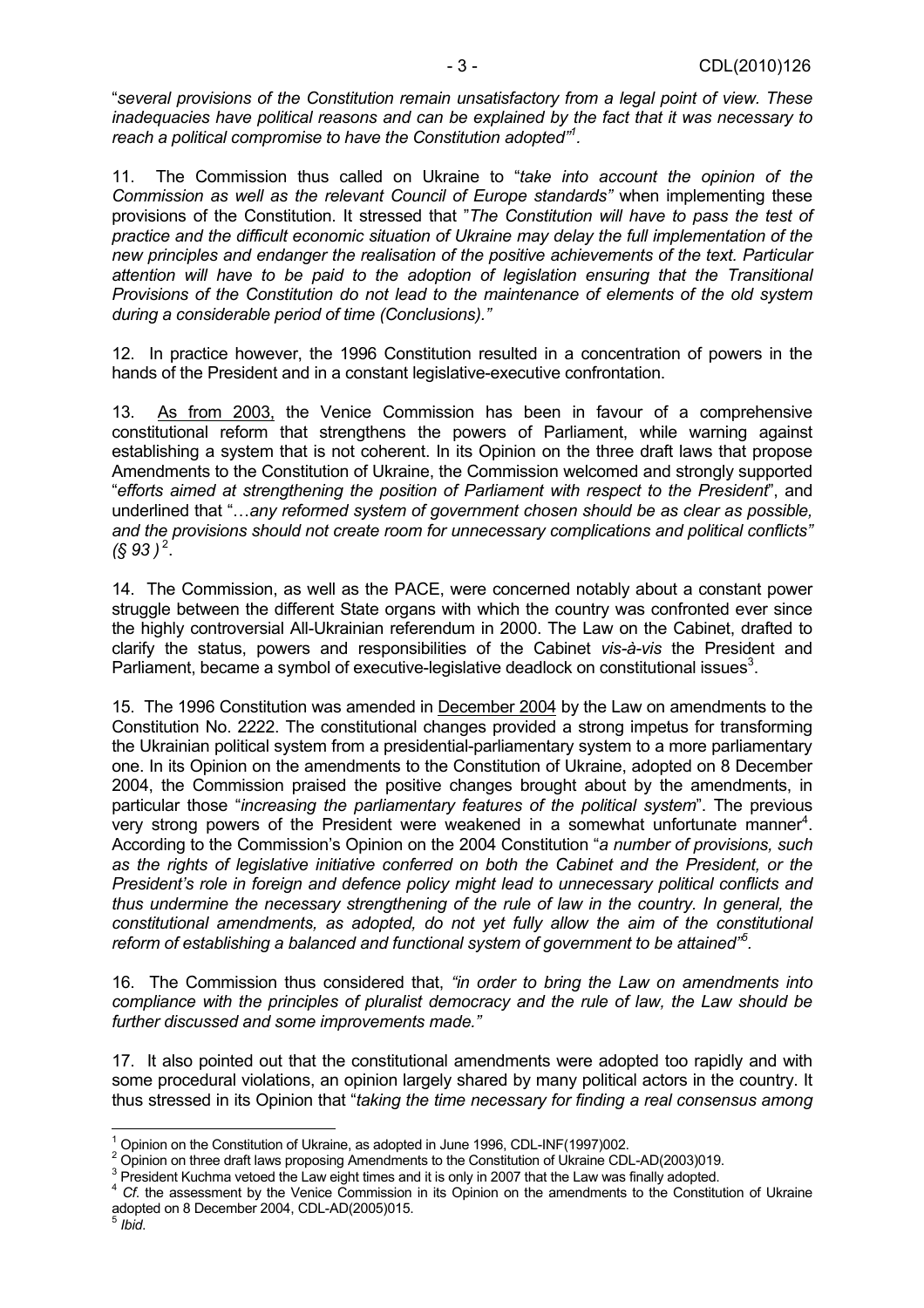"*several provisions of the Constitution remain unsatisfactory from a legal point of view. These inadequacies have political reasons and can be explained by the fact that it was necessary to reach a political compromise to have the Constitution adopted"1 .* 

11. The Commission thus called on Ukraine to "*take into account the opinion of the Commission as well as the relevant Council of Europe standards"* when implementing these provisions of the Constitution. It stressed that "*The Constitution will have to pass the test of practice and the difficult economic situation of Ukraine may delay the full implementation of the new principles and endanger the realisation of the positive achievements of the text. Particular attention will have to be paid to the adoption of legislation ensuring that the Transitional Provisions of the Constitution do not lead to the maintenance of elements of the old system during a considerable period of time (Conclusions)."* 

12. In practice however, the 1996 Constitution resulted in a concentration of powers in the hands of the President and in a constant legislative-executive confrontation.

13. As from 2003, the Venice Commission has been in favour of a comprehensive constitutional reform that strengthens the powers of Parliament, while warning against establishing a system that is not coherent. In its Opinion on the three draft laws that propose Amendments to the Constitution of Ukraine, the Commission welcomed and strongly supported "*efforts aimed at strengthening the position of Parliament with respect to the President*", and underlined that "…*any reformed system of government chosen should be as clear as possible, and the provisions should not create room for unnecessary complications and political conflicts"*   $($ § 93 )<sup>2</sup>.

14. The Commission, as well as the PACE, were concerned notably about a constant power struggle between the different State organs with which the country was confronted ever since the highly controversial All-Ukrainian referendum in 2000. The Law on the Cabinet, drafted to clarify the status, powers and responsibilities of the Cabinet *vis-à-vis* the President and Parliament, became a symbol of executive-legislative deadlock on constitutional issues<sup>3</sup>.

15. The 1996 Constitution was amended in December 2004 by the Law on amendments to the Constitution No. 2222. The constitutional changes provided a strong impetus for transforming the Ukrainian political system from a presidential-parliamentary system to a more parliamentary one. In its Opinion on the amendments to the Constitution of Ukraine, adopted on 8 December 2004, the Commission praised the positive changes brought about by the amendments, in particular those "*increasing the parliamentary features of the political system*". The previous very strong powers of the President were weakened in a somewhat unfortunate manner<sup>4</sup>. According to the Commission's Opinion on the 2004 Constitution "*a number of provisions, such as the rights of legislative initiative conferred on both the Cabinet and the President, or the President's role in foreign and defence policy might lead to unnecessary political conflicts and thus undermine the necessary strengthening of the rule of law in the country. In general, the constitutional amendments, as adopted, do not yet fully allow the aim of the constitutional reform of establishing a balanced and functional system of government to be attained"5 .* 

16. The Commission thus considered that, *"in order to bring the Law on amendments into compliance with the principles of pluralist democracy and the rule of law, the Law should be further discussed and some improvements made."* 

17. It also pointed out that the constitutional amendments were adopted too rapidly and with some procedural violations, an opinion largely shared by many political actors in the country. It thus stressed in its Opinion that "*taking the time necessary for finding a real consensus among* 

  $1$  Opinion on the Constitution of Ukraine, as adopted in June 1996, CDL-INF(1997)002.

 $^2$  Opinion on three draft laws proposing Amendments to the Constitution of Ukraine CDL-AD(2003)019.<br><sup>3</sup> Precident Kurbma vetacd the Law sight times and it is salv in 2007 that the Law was finally adopted.

<sup>&</sup>lt;sup>3</sup> President Kuchma vetoed the Law eight times and it is only in 2007 that the Law was finally adopted.

<sup>&</sup>lt;sup>4</sup> *Cf.* the assessment by the Venice Commission in its Opinion on the amendments to the Constitution of Ukraine adopted on 8 December 2004, CDL-AD(2005)015. <sup>5</sup> *Ibid*.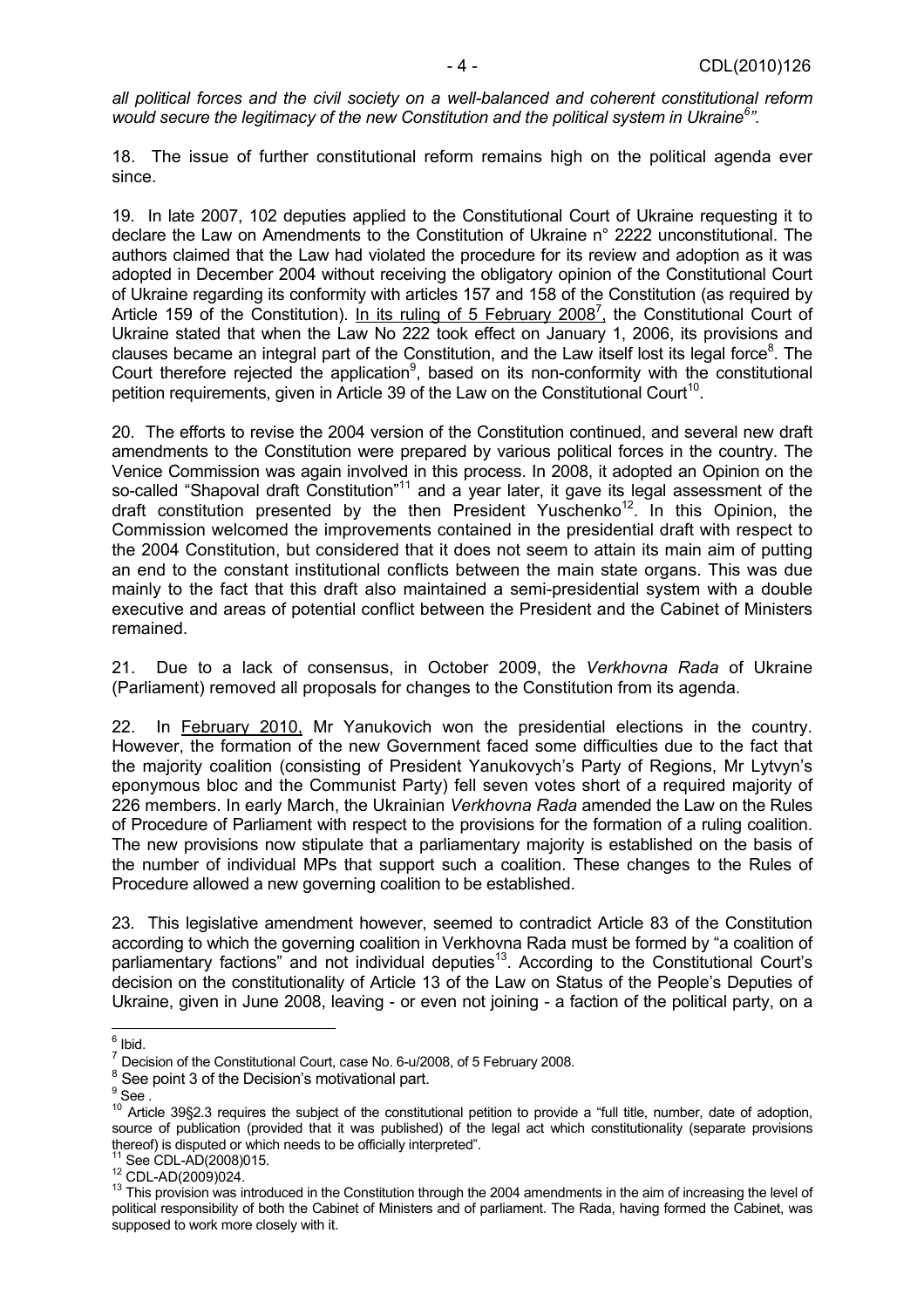*all political forces and the civil society on a well-balanced and coherent constitutional reform would secure the legitimacy of the new Constitution and the political system in Ukraine6 ".* 

18. The issue of further constitutional reform remains high on the political agenda ever since.

19. In late 2007, 102 deputies applied to the Constitutional Court of Ukraine requesting it to declare the Law on Amendments to the Constitution of Ukraine n° 2222 unconstitutional. The authors claimed that the Law had violated the procedure for its review and adoption as it was adopted in December 2004 without receiving the obligatory opinion of the Constitutional Court of Ukraine regarding its conformity with articles 157 and 158 of the Constitution (as required by Article 159 of the Constitution). In its ruling of 5 February 2008<sup>7</sup>, the Constitutional Court of Ukraine stated that when the Law No 222 took effect on January 1, 2006, its provisions and clauses became an integral part of the Constitution, and the Law itself lost its legal force<sup>8</sup>. The Court therefore rejected the application<sup>9</sup>, based on its non-conformity with the constitutional petition requirements, given in Article 39 of the Law on the Constitutional Court<sup>10</sup>.

20. The efforts to revise the 2004 version of the Constitution continued, and several new draft amendments to the Constitution were prepared by various political forces in the country. The Venice Commission was again involved in this process. In 2008, it adopted an Opinion on the so-called "Shapoval draft Constitution"<sup>11</sup> and a year later, it gave its legal assessment of the draft constitution presented by the then President Yuschenko<sup>12</sup>. In this Opinion, the Commission welcomed the improvements contained in the presidential draft with respect to the 2004 Constitution, but considered that it does not seem to attain its main aim of putting an end to the constant institutional conflicts between the main state organs. This was due mainly to the fact that this draft also maintained a semi-presidential system with a double executive and areas of potential conflict between the President and the Cabinet of Ministers remained.

21. Due to a lack of consensus, in October 2009, the *Verkhovna Rada* of Ukraine (Parliament) removed all proposals for changes to the Constitution from its agenda.

22. In February 2010, Mr Yanukovich won the presidential elections in the country. However, the formation of the new Government faced some difficulties due to the fact that the majority coalition (consisting of President Yanukovych's Party of Regions, Mr Lytvyn's eponymous bloc and the Communist Party) fell seven votes short of a required majority of 226 members. In early March, the Ukrainian *Verkhovna Rada* amended the Law on the Rules of Procedure of Parliament with respect to the provisions for the formation of a ruling coalition. The new provisions now stipulate that a parliamentary majority is established on the basis of the number of individual MPs that support such a coalition. These changes to the Rules of Procedure allowed a new governing coalition to be established.

23. This legislative amendment however, seemed to contradict Article 83 of the Constitution according to which the governing coalition in Verkhovna Rada must be formed by "a coalition of parliamentary factions" and not individual deputies<sup>13</sup>. According to the Constitutional Court's decision on the constitutionality of Article 13 of the Law on Status of the People's Deputies of Ukraine, given in June 2008, leaving - or even not joining - a faction of the political party, on a

<sup>&</sup>lt;sup>6</sup> Ibid.

<sup>7</sup> Decision of the Constitutional Court, case No. 6-u/2008, of 5 February 2008.

 $8$  See point 3 of the Decision's motivational part.

 $^9$  See . $\dot{\phantom{1}}$ 

 $10^{10}$  Article 39§2.3 requires the subject of the constitutional petition to provide a "full title, number, date of adoption, source of publication (provided that it was published) of the legal act which constitutionality (separate provisions thereof) is disputed or which needs to be officially interpreted".<br><sup>11</sup> See CDL-AD(2008)015.

<sup>12</sup> CDL-AD(2009)024.<br><sup>12</sup> CDL-AD(2009)024.<br><sup>13</sup> This provision was introduced in the Constitution through the 2004 amendments in the aim of increasing the level of political responsibility of both the Cabinet of Ministers and of parliament. The Rada, having formed the Cabinet, was supposed to work more closely with it.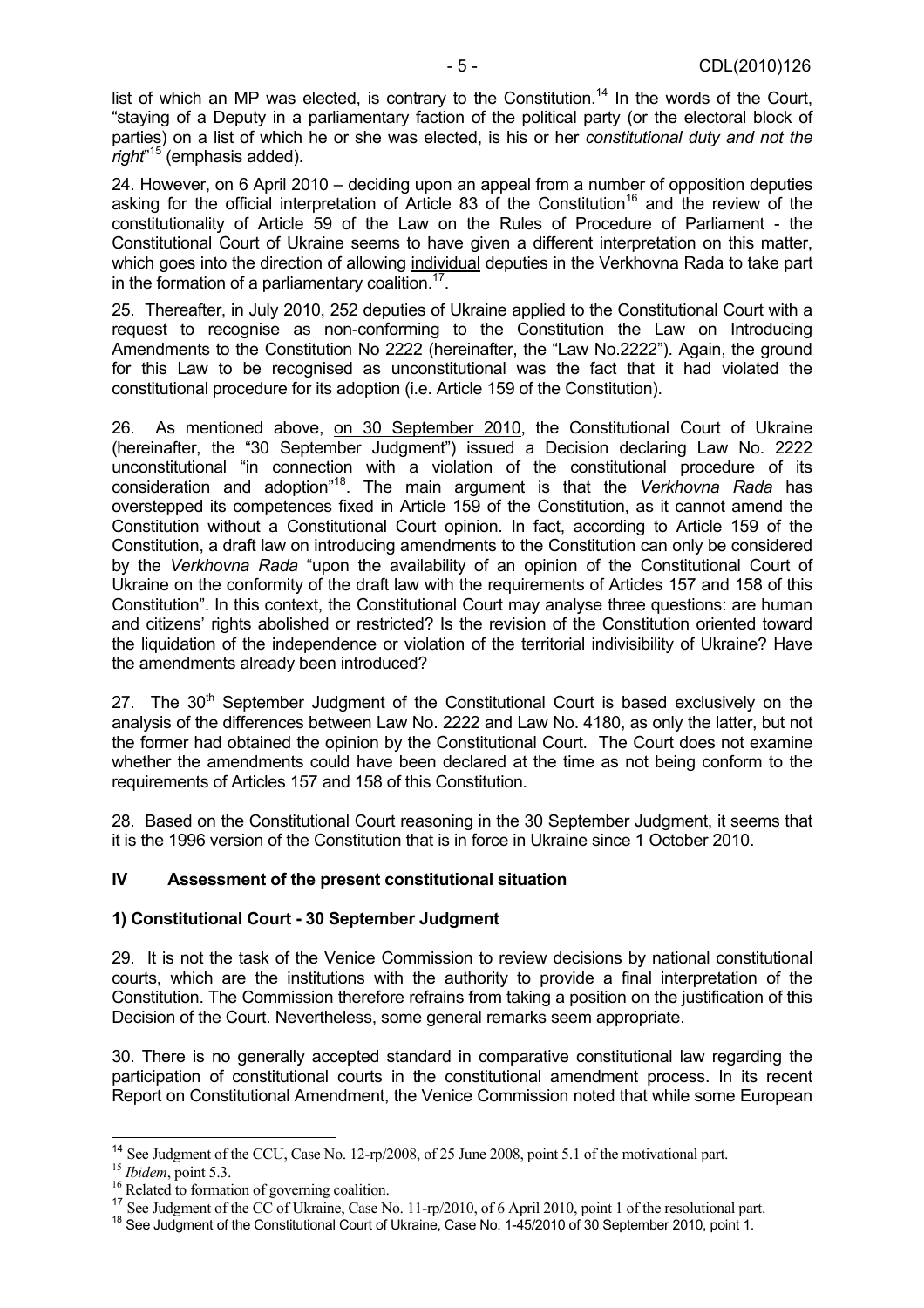list of which an MP was elected, is contrary to the Constitution.<sup>14</sup> In the words of the Court, "staying of a Deputy in a parliamentary faction of the political party (or the electoral block of parties) on a list of which he or she was elected, is his or her *constitutional duty and not the right*" 15 (emphasis added).

24. However, on 6 April 2010 – deciding upon an appeal from a number of opposition deputies asking for the official interpretation of Article 83 of the Constitution<sup>16</sup> and the review of the constitutionality of Article 59 of the Law on the Rules of Procedure of Parliament - the Constitutional Court of Ukraine seems to have given a different interpretation on this matter, which goes into the direction of allowing individual deputies in the Verkhovna Rada to take part in the formation of a parliamentary coalition.<sup>17</sup>.

25. Thereafter, in July 2010, 252 deputies of Ukraine applied to the Constitutional Court with a request to recognise as non-conforming to the Constitution the Law on Introducing Amendments to the Constitution No 2222 (hereinafter, the "Law No.2222"). Again, the ground for this Law to be recognised as unconstitutional was the fact that it had violated the constitutional procedure for its adoption (i.e. Article 159 of the Constitution).

26. As mentioned above, on 30 September 2010, the Constitutional Court of Ukraine (hereinafter, the "30 September Judgment") issued a Decision declaring Law No. 2222 unconstitutional "in connection with a violation of the constitutional procedure of its consideration and adoption"18. The main argument is that the *Verkhovna Rada* has overstepped its competences fixed in Article 159 of the Constitution, as it cannot amend the Constitution without a Constitutional Court opinion. In fact, according to Article 159 of the Constitution, a draft law on introducing amendments to the Constitution can only be considered by the *Verkhovna Rada* "upon the availability of an opinion of the Constitutional Court of Ukraine on the conformity of the draft law with the requirements of Articles 157 and 158 of this Constitution". In this context, the Constitutional Court may analyse three questions: are human and citizens' rights abolished or restricted? Is the revision of the Constitution oriented toward the liquidation of the independence or violation of the territorial indivisibility of Ukraine? Have the amendments already been introduced?

27. The  $30<sup>th</sup>$  September Judgment of the Constitutional Court is based exclusively on the analysis of the differences between Law No. 2222 and Law No. 4180, as only the latter, but not the former had obtained the opinion by the Constitutional Court. The Court does not examine whether the amendments could have been declared at the time as not being conform to the requirements of Articles 157 and 158 of this Constitution.

28. Based on the Constitutional Court reasoning in the 30 September Judgment, it seems that it is the 1996 version of the Constitution that is in force in Ukraine since 1 October 2010.

#### **IV Assessment of the present constitutional situation**

#### **1) Constitutional Court - 30 September Judgment**

29. It is not the task of the Venice Commission to review decisions by national constitutional courts, which are the institutions with the authority to provide a final interpretation of the Constitution. The Commission therefore refrains from taking a position on the justification of this Decision of the Court. Nevertheless, some general remarks seem appropriate.

30. There is no generally accepted standard in comparative constitutional law regarding the participation of constitutional courts in the constitutional amendment process. In its recent Report on Constitutional Amendment, the Venice Commission noted that while some European

 <sup>14</sup> See Judgment of the CCU, Case No. 12-rp/2008, of 25 June 2008, point 5.1 of the motivational part.<br><sup>15</sup> *Ibidem*, point 5.3. <sup>16</sup> Related to formation of governing coalition.

<sup>&</sup>lt;sup>16</sup> Related to formation of governing coalition.<br><sup>17</sup> See Judgment of the CC of Ukraine, Case No. 11-rp/2010, of 6 April 2010, point 1 of the resolutional part.<br><sup>18</sup> See Judgment of the Constitutional Court of Ukraine, C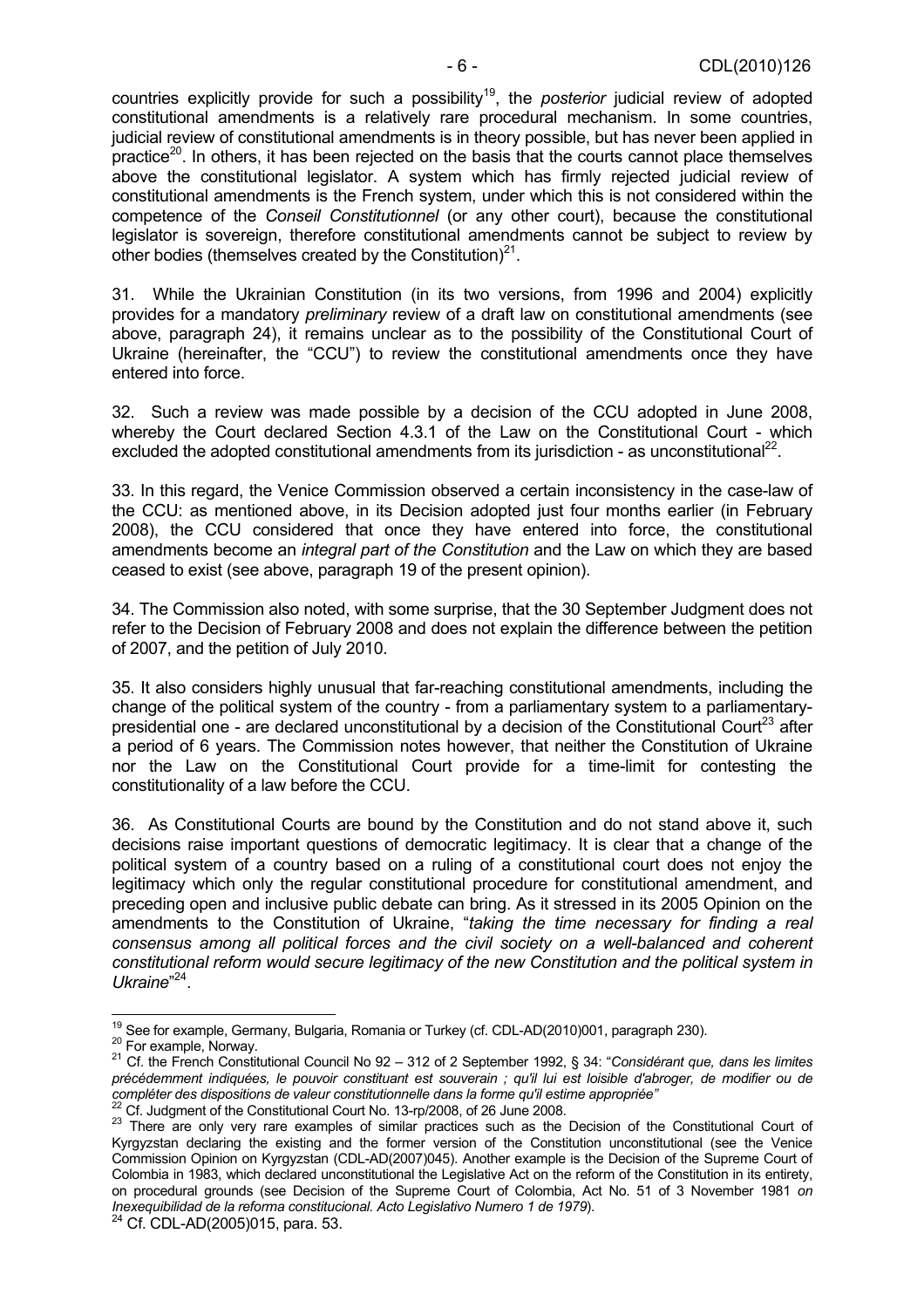countries explicitly provide for such a possibility19, the *posterior* judicial review of adopted constitutional amendments is a relatively rare procedural mechanism. In some countries, judicial review of constitutional amendments is in theory possible, but has never been applied in practice<sup>20</sup>. In others, it has been rejected on the basis that the courts cannot place themselves above the constitutional legislator. A system which has firmly rejected judicial review of constitutional amendments is the French system, under which this is not considered within the competence of the *Conseil Constitutionnel* (or any other court), because the constitutional legislator is sovereign, therefore constitutional amendments cannot be subject to review by other bodies (themselves created by the Constitution) $2^1$ .

31. While the Ukrainian Constitution (in its two versions, from 1996 and 2004) explicitly provides for a mandatory *preliminary* review of a draft law on constitutional amendments (see above, paragraph 24), it remains unclear as to the possibility of the Constitutional Court of Ukraine (hereinafter, the "CCU") to review the constitutional amendments once they have entered into force.

32. Such a review was made possible by a decision of the CCU adopted in June 2008, whereby the Court declared Section 4.3.1 of the Law on the Constitutional Court - which excluded the adopted constitutional amendments from its jurisdiction - as unconstitutional<sup>22</sup>.

33. In this regard, the Venice Commission observed a certain inconsistency in the case-law of the CCU: as mentioned above, in its Decision adopted just four months earlier (in February 2008), the CCU considered that once they have entered into force, the constitutional amendments become an *integral part of the Constitution* and the Law on which they are based ceased to exist (see above, paragraph 19 of the present opinion).

34. The Commission also noted, with some surprise, that the 30 September Judgment does not refer to the Decision of February 2008 and does not explain the difference between the petition of 2007, and the petition of July 2010.

35. It also considers highly unusual that far-reaching constitutional amendments, including the change of the political system of the country - from a parliamentary system to a parliamentarypresidential one - are declared unconstitutional by a decision of the Constitutional Court<sup>23</sup> after a period of 6 years. The Commission notes however, that neither the Constitution of Ukraine nor the Law on the Constitutional Court provide for a time-limit for contesting the constitutionality of a law before the CCU.

36. As Constitutional Courts are bound by the Constitution and do not stand above it, such decisions raise important questions of democratic legitimacy. It is clear that a change of the political system of a country based on a ruling of a constitutional court does not enjoy the legitimacy which only the regular constitutional procedure for constitutional amendment, and preceding open and inclusive public debate can bring. As it stressed in its 2005 Opinion on the amendments to the Constitution of Ukraine, "*taking the time necessary for finding a real consensus among all political forces and the civil society on a well-balanced and coherent constitutional reform would secure legitimacy of the new Constitution and the political system in Ukraine*" 24.

<sup>&</sup>lt;sup>19</sup> See for example, Germany, Bulgaria, Romania or Turkey (cf. CDL-AD(2010)001, paragraph 230).

<sup>20</sup> For example, Norway.<br><sup>20</sup> Cf. the French Constitutional Council No 92 – 312 of 2 September 1992, § 34: "Considérant que, dans les limites *précédemment indiquées, le pouvoir constituant est souverain ; qu'il lui est loisible d'abroger, de modifier ou de*  compléter des dispositions de valeur constitutionnelle dans la forme qu'il estime appropriée"<br>
<sup>22</sup> Cf. Judgment of the Constitutional Court No. 13-rp/2008, of 26 June 2008.<br>
<sup>23</sup> There are only very rare examples of simi

Kyrgyzstan declaring the existing and the former version of the Constitution unconstitutional (see the Venice Commission Opinion on Kyrgyzstan (CDL-AD(2007)045). Another example is the Decision of the Supreme Court of Colombia in 1983, which declared unconstitutional the Legislative Act on the reform of the Constitution in its entirety, on procedural grounds (see Decision of the Supreme Court of Colombia, Act No. 51 of 3 November 1981 *on Inexequibilidad de la reforma constitucional. Acto Legislativo Numero 1 de 1979*).<br><sup>24</sup> Cf. CDL-AD(2005)015, para. 53.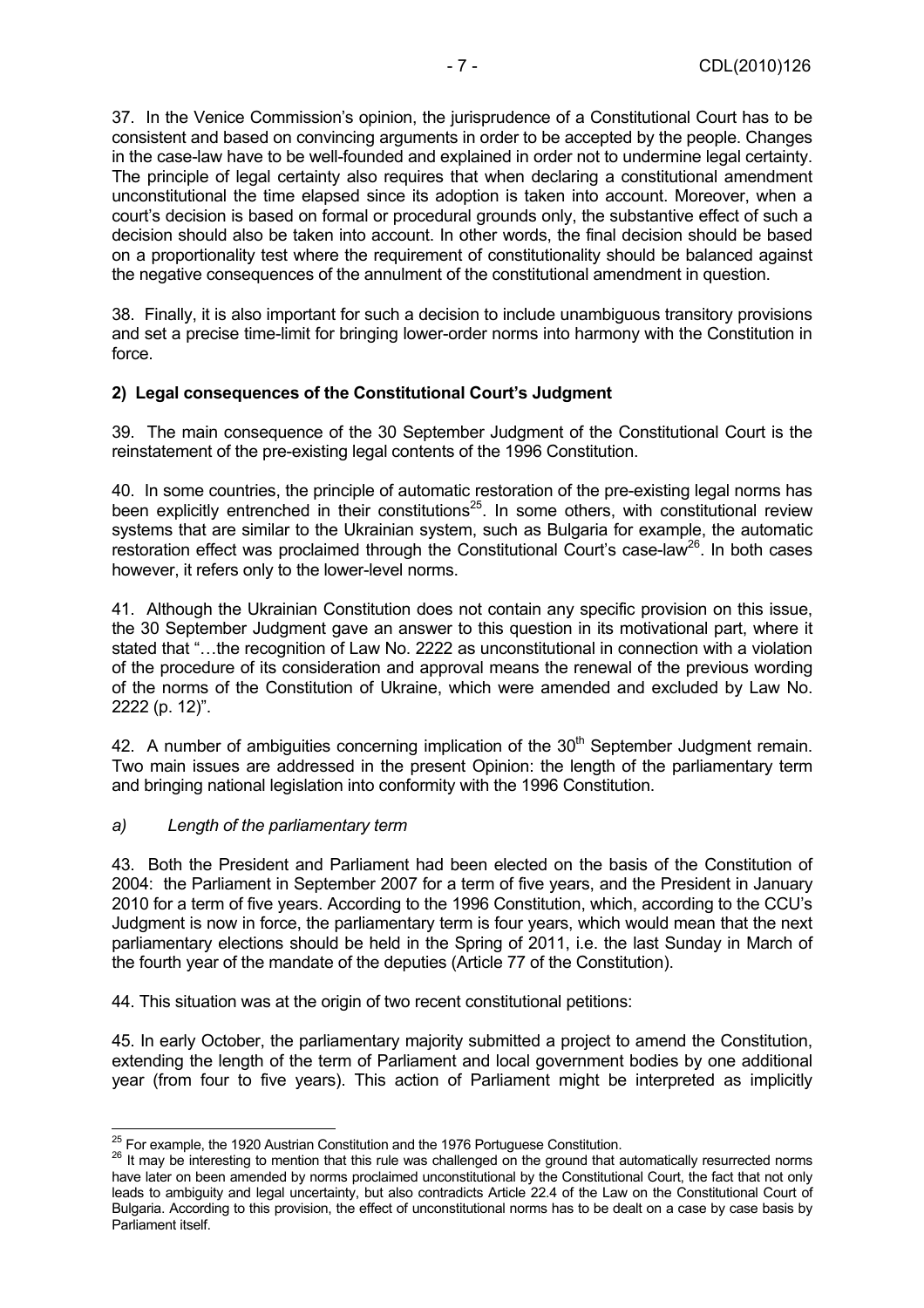37. In the Venice Commission's opinion, the jurisprudence of a Constitutional Court has to be consistent and based on convincing arguments in order to be accepted by the people. Changes in the case-law have to be well-founded and explained in order not to undermine legal certainty. The principle of legal certainty also requires that when declaring a constitutional amendment unconstitutional the time elapsed since its adoption is taken into account. Moreover, when a court's decision is based on formal or procedural grounds only, the substantive effect of such a decision should also be taken into account. In other words, the final decision should be based on a proportionality test where the requirement of constitutionality should be balanced against the negative consequences of the annulment of the constitutional amendment in question.

38. Finally, it is also important for such a decision to include unambiguous transitory provisions and set a precise time-limit for bringing lower-order norms into harmony with the Constitution in force.

#### **2) Legal consequences of the Constitutional Court's Judgment**

39. The main consequence of the 30 September Judgment of the Constitutional Court is the reinstatement of the pre-existing legal contents of the 1996 Constitution.

40. In some countries, the principle of automatic restoration of the pre-existing legal norms has been explicitly entrenched in their constitutions<sup>25</sup>. In some others, with constitutional review systems that are similar to the Ukrainian system, such as Bulgaria for example, the automatic restoration effect was proclaimed through the Constitutional Court's case-law<sup>26</sup>. In both cases however, it refers only to the lower-level norms.

41. Although the Ukrainian Constitution does not contain any specific provision on this issue, the 30 September Judgment gave an answer to this question in its motivational part, where it stated that "…the recognition of Law No. 2222 as unconstitutional in connection with a violation of the procedure of its consideration and approval means the renewal of the previous wording of the norms of the Constitution of Ukraine, which were amended and excluded by Law No. 2222 (p. 12)".

42. A number of ambiguities concerning implication of the 30<sup>th</sup> September Judgment remain. Two main issues are addressed in the present Opinion: the length of the parliamentary term and bringing national legislation into conformity with the 1996 Constitution.

#### *a) Length of the parliamentary term*

43. Both the President and Parliament had been elected on the basis of the Constitution of 2004: the Parliament in September 2007 for a term of five years, and the President in January 2010 for a term of five years. According to the 1996 Constitution, which, according to the CCU's Judgment is now in force, the parliamentary term is four years, which would mean that the next parliamentary elections should be held in the Spring of 2011, i.e. the last Sunday in March of the fourth year of the mandate of the deputies (Article 77 of the Constitution).

44. This situation was at the origin of two recent constitutional petitions:

45. In early October, the parliamentary majority submitted a project to amend the Constitution, extending the length of the term of Parliament and local government bodies by one additional year (from four to five years). This action of Parliament might be interpreted as implicitly

 $25$  For example, the 1920 Austrian Constitution and the 1976 Portuguese Constitution.

<sup>&</sup>lt;sup>26</sup> It may be interesting to mention that this rule was challenged on the ground that automatically resurrected norms have later on been amended by norms proclaimed unconstitutional by the Constitutional Court, the fact that not only leads to ambiguity and legal uncertainty, but also contradicts Article 22.4 of the Law on the Constitutional Court of Bulgaria. According to this provision, the effect of unconstitutional norms has to be dealt on a case by case basis by Parliament itself.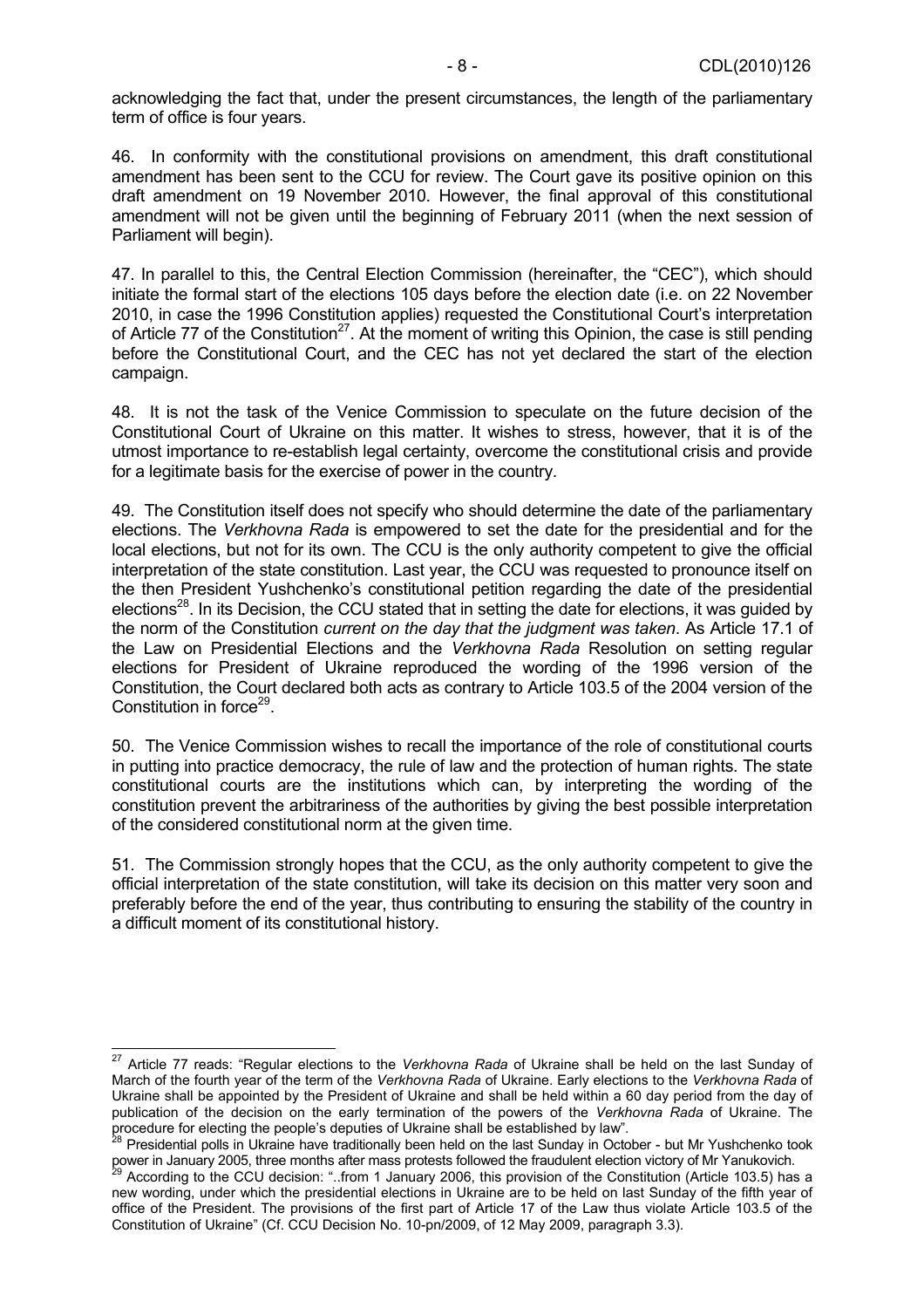acknowledging the fact that, under the present circumstances, the length of the parliamentary term of office is four years.

46. In conformity with the constitutional provisions on amendment, this draft constitutional amendment has been sent to the CCU for review. The Court gave its positive opinion on this draft amendment on 19 November 2010. However, the final approval of this constitutional amendment will not be given until the beginning of February 2011 (when the next session of Parliament will begin).

47. In parallel to this, the Central Election Commission (hereinafter, the "CEC"), which should initiate the formal start of the elections 105 days before the election date (i.e. on 22 November 2010, in case the 1996 Constitution applies) requested the Constitutional Court's interpretation of Article 77 of the Constitution<sup>27</sup>. At the moment of writing this Opinion, the case is still pending before the Constitutional Court, and the CEC has not yet declared the start of the election campaign.

48. It is not the task of the Venice Commission to speculate on the future decision of the Constitutional Court of Ukraine on this matter. It wishes to stress, however, that it is of the utmost importance to re-establish legal certainty, overcome the constitutional crisis and provide for a legitimate basis for the exercise of power in the country.

49. The Constitution itself does not specify who should determine the date of the parliamentary elections. The *Verkhovna Rada* is empowered to set the date for the presidential and for the local elections, but not for its own. The CCU is the only authority competent to give the official interpretation of the state constitution. Last year, the CCU was requested to pronounce itself on the then President Yushchenko's constitutional petition regarding the date of the presidential elections<sup>28</sup>. In its Decision, the CCU stated that in setting the date for elections, it was guided by the norm of the Constitution *current on the day that the judgment was taken*. As Article 17.1 of the Law on Presidential Elections and the *Verkhovna Rada* Resolution on setting regular elections for President of Ukraine reproduced the wording of the 1996 version of the Constitution, the Court declared both acts as contrary to Article 103.5 of the 2004 version of the Constitution in force<sup>29</sup>.

50. The Venice Commission wishes to recall the importance of the role of constitutional courts in putting into practice democracy, the rule of law and the protection of human rights. The state constitutional courts are the institutions which can, by interpreting the wording of the constitution prevent the arbitrariness of the authorities by giving the best possible interpretation of the considered constitutional norm at the given time.

51. The Commission strongly hopes that the CCU, as the only authority competent to give the official interpretation of the state constitution, will take its decision on this matter very soon and preferably before the end of the year, thus contributing to ensuring the stability of the country in a difficult moment of its constitutional history.

 27 Article 77 reads: "Regular elections to the *Verkhovna Rada* of Ukraine shall be held on the last Sunday of March of the fourth year of the term of the *Verkhovna Rada* of Ukraine. Early elections to the *Verkhovna Rada* of Ukraine shall be appointed by the President of Ukraine and shall be held within a 60 day period from the day of publication of the decision on the early termination of the powers of the *Verkhovna Rada* of Ukraine. The procedure for electing the people's deputies of Ukraine shall be established by law".<br><sup>28</sup> Presidential polls in Ukraine have traditionally been held on the last Sunday in October - but Mr Yushchenko took

power in January 2005, three months after mass protests followed the fraudulent election victory of Mr Yanukovich.<br><sup>29</sup> According to the CCU decision: "..from 1 January 2006, this provision of the Constitution (Article 103

new wording, under which the presidential elections in Ukraine are to be held on last Sunday of the fifth year of office of the President. The provisions of the first part of Article 17 of the Law thus violate Article 103.5 of the Constitution of Ukraine" (Cf. CCU Decision No. 10-pn/2009, of 12 May 2009, paragraph 3.3).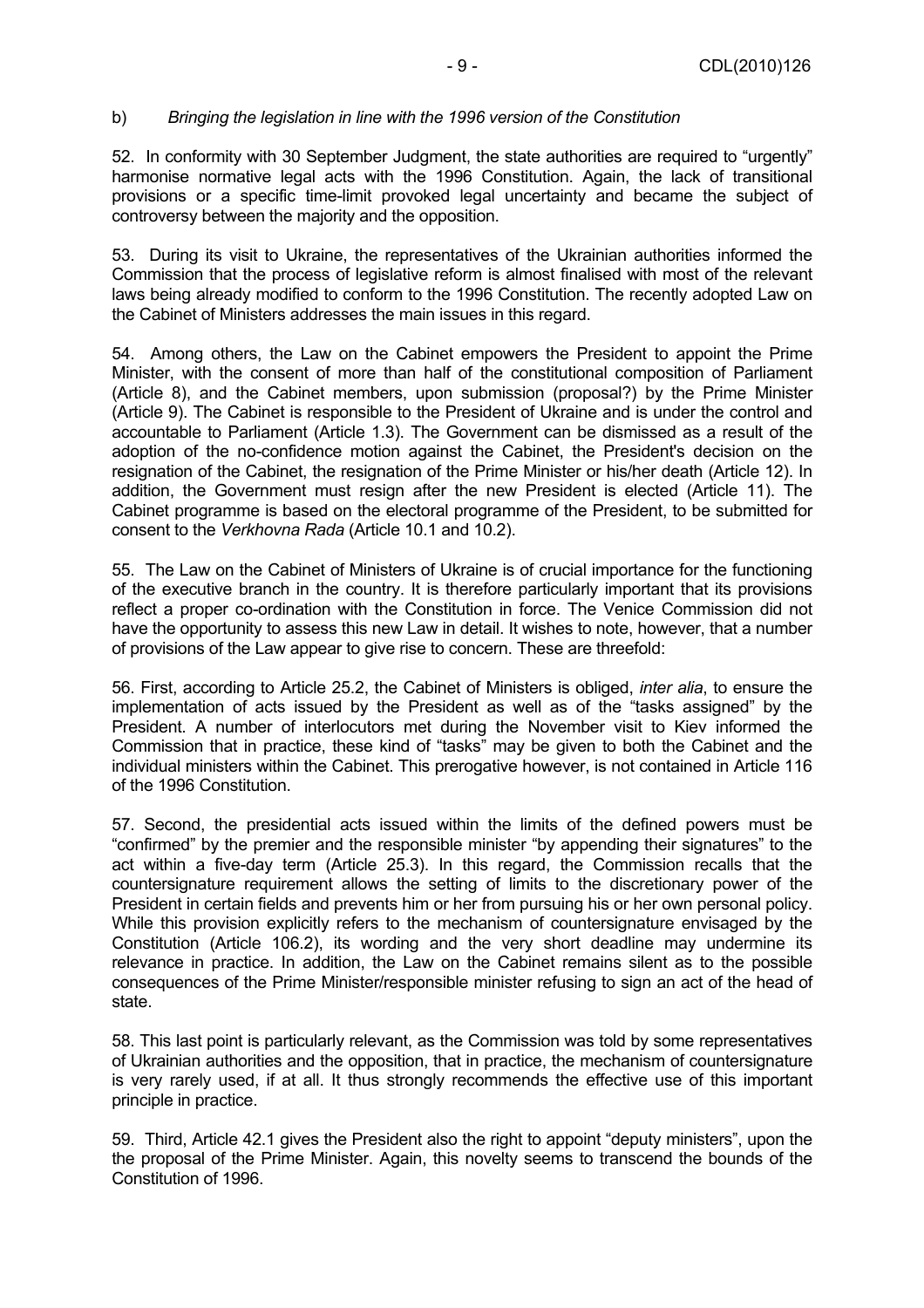#### b) *Bringing the legislation in line with the 1996 version of the Constitution*

52. In conformity with 30 September Judgment, the state authorities are required to "urgently" harmonise normative legal acts with the 1996 Constitution. Again, the lack of transitional provisions or a specific time-limit provoked legal uncertainty and became the subject of controversy between the majority and the opposition.

53. During its visit to Ukraine, the representatives of the Ukrainian authorities informed the Commission that the process of legislative reform is almost finalised with most of the relevant laws being already modified to conform to the 1996 Constitution. The recently adopted Law on the Cabinet of Ministers addresses the main issues in this regard.

54. Among others, the Law on the Cabinet empowers the President to appoint the Prime Minister, with the consent of more than half of the constitutional composition of Parliament (Article 8), and the Cabinet members, upon submission (proposal?) by the Prime Minister (Article 9). The Cabinet is responsible to the President of Ukraine and is under the control and accountable to Parliament (Article 1.3). The Government can be dismissed as a result of the adoption of the no-confidence motion against the Cabinet, the President's decision on the resignation of the Cabinet, the resignation of the Prime Minister or his/her death (Article 12). In addition, the Government must resign after the new President is elected (Article 11). The Cabinet programme is based on the electoral programme of the President, to be submitted for consent to the *Verkhovna Rada* (Article 10.1 and 10.2).

55. The Law on the Cabinet of Ministers of Ukraine is of crucial importance for the functioning of the executive branch in the country. It is therefore particularly important that its provisions reflect a proper co-ordination with the Constitution in force. The Venice Commission did not have the opportunity to assess this new Law in detail. It wishes to note, however, that a number of provisions of the Law appear to give rise to concern. These are threefold:

56. First, according to Article 25.2, the Cabinet of Ministers is obliged, *inter alia*, to ensure the implementation of acts issued by the President as well as of the "tasks assigned" by the President. A number of interlocutors met during the November visit to Kiev informed the Commission that in practice, these kind of "tasks" may be given to both the Cabinet and the individual ministers within the Cabinet. This prerogative however, is not contained in Article 116 of the 1996 Constitution.

57. Second, the presidential acts issued within the limits of the defined powers must be "confirmed" by the premier and the responsible minister "by appending their signatures" to the act within a five-day term (Article 25.3). In this regard, the Commission recalls that the countersignature requirement allows the setting of limits to the discretionary power of the President in certain fields and prevents him or her from pursuing his or her own personal policy. While this provision explicitly refers to the mechanism of countersignature envisaged by the Constitution (Article 106.2), its wording and the very short deadline may undermine its relevance in practice. In addition, the Law on the Cabinet remains silent as to the possible consequences of the Prime Minister/responsible minister refusing to sign an act of the head of state.

58. This last point is particularly relevant, as the Commission was told by some representatives of Ukrainian authorities and the opposition, that in practice, the mechanism of countersignature is very rarely used, if at all. It thus strongly recommends the effective use of this important principle in practice.

59. Third, Article 42.1 gives the President also the right to appoint "deputy ministers", upon the the proposal of the Prime Minister. Again, this novelty seems to transcend the bounds of the Constitution of 1996.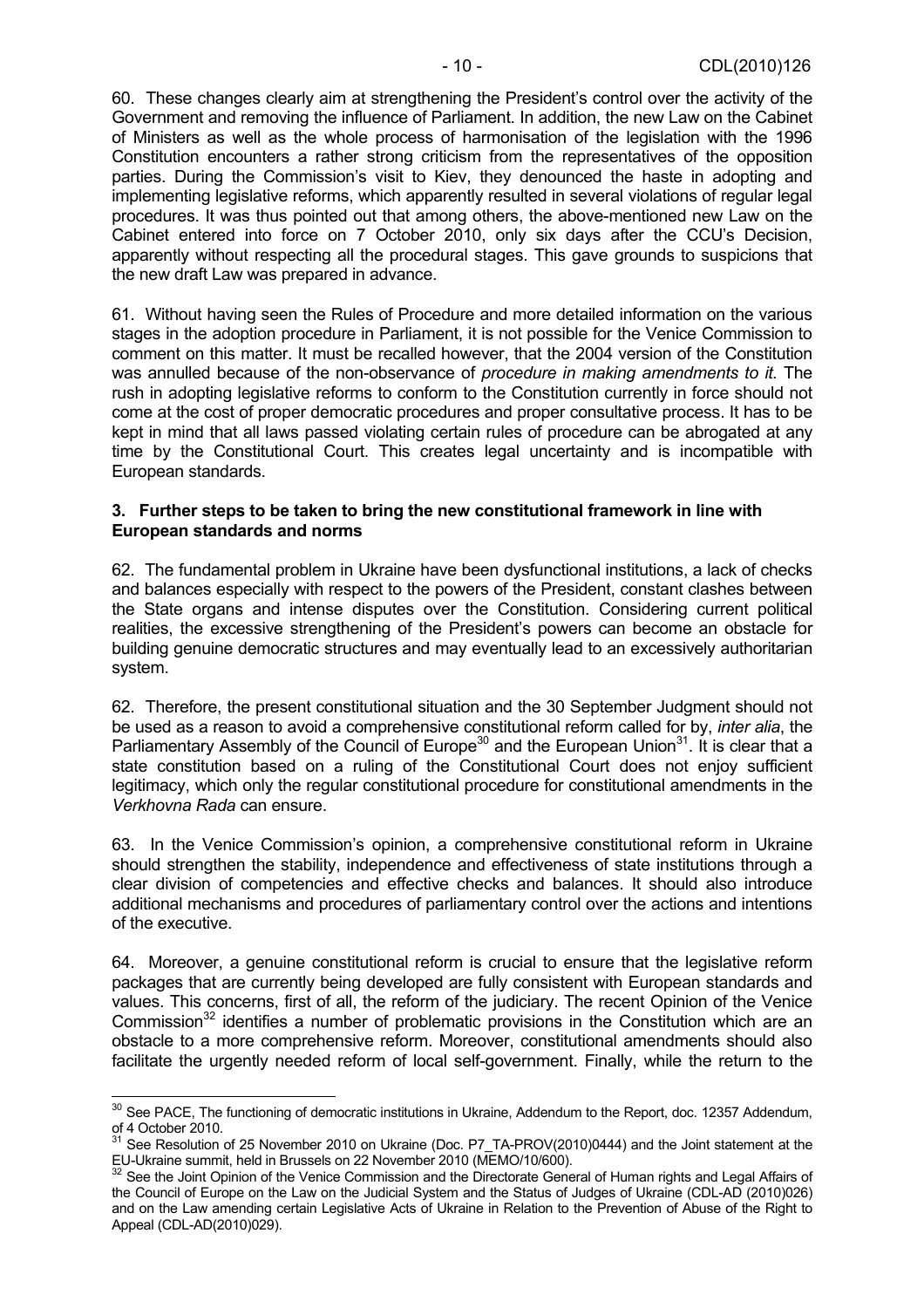60. These changes clearly aim at strengthening the President's control over the activity of the Government and removing the influence of Parliament. In addition, the new Law on the Cabinet of Ministers as well as the whole process of harmonisation of the legislation with the 1996 Constitution encounters a rather strong criticism from the representatives of the opposition parties. During the Commission's visit to Kiev, they denounced the haste in adopting and implementing legislative reforms, which apparently resulted in several violations of regular legal procedures. It was thus pointed out that among others, the above-mentioned new Law on the Cabinet entered into force on 7 October 2010, only six days after the CCU's Decision, apparently without respecting all the procedural stages. This gave grounds to suspicions that the new draft Law was prepared in advance.

61. Without having seen the Rules of Procedure and more detailed information on the various stages in the adoption procedure in Parliament, it is not possible for the Venice Commission to comment on this matter. It must be recalled however, that the 2004 version of the Constitution was annulled because of the non-observance of *procedure in making amendments to it.* The rush in adopting legislative reforms to conform to the Constitution currently in force should not come at the cost of proper democratic procedures and proper consultative process. It has to be kept in mind that all laws passed violating certain rules of procedure can be abrogated at any time by the Constitutional Court. This creates legal uncertainty and is incompatible with European standards.

#### **3. Further steps to be taken to bring the new constitutional framework in line with European standards and norms**

62. The fundamental problem in Ukraine have been dysfunctional institutions, a lack of checks and balances especially with respect to the powers of the President, constant clashes between the State organs and intense disputes over the Constitution. Considering current political realities, the excessive strengthening of the President's powers can become an obstacle for building genuine democratic structures and may eventually lead to an excessively authoritarian system.

62. Therefore, the present constitutional situation and the 30 September Judgment should not be used as a reason to avoid a comprehensive constitutional reform called for by, *inter alia*, the Parliamentary Assembly of the Council of Europe<sup>30</sup> and the European Union<sup>31</sup>. It is clear that a state constitution based on a ruling of the Constitutional Court does not enjoy sufficient legitimacy, which only the regular constitutional procedure for constitutional amendments in the *Verkhovna Rada* can ensure.

63. In the Venice Commission's opinion, a comprehensive constitutional reform in Ukraine should strengthen the stability, independence and effectiveness of state institutions through a clear division of competencies and effective checks and balances. It should also introduce additional mechanisms and procedures of parliamentary control over the actions and intentions of the executive.

64. Moreover, a genuine constitutional reform is crucial to ensure that the legislative reform packages that are currently being developed are fully consistent with European standards and values. This concerns, first of all, the reform of the judiciary. The recent Opinion of the Venice Commission<sup>32</sup> identifies a number of problematic provisions in the Constitution which are an obstacle to a more comprehensive reform. Moreover, constitutional amendments should also facilitate the urgently needed reform of local self-government. Finally, while the return to the

 $\overline{a}$ <sup>30</sup> See PACE, The functioning of democratic institutions in Ukraine, Addendum to the Report, doc. 12357 Addendum, of 4 October 2010.

 $31$  See Resolution of 25 November 2010 on Ukraine (Doc. P7\_TA-PROV(2010)0444) and the Joint statement at the EU-Ukraine summit, held in Brussels on 22 November 2010 (MEMO/10/600).

 $32$  See the Joint Opinion of the Venice Commission and the Directorate General of Human rights and Legal Affairs of the Council of Europe on the Law on the Judicial System and the Status of Judges of Ukraine (CDL-AD (2010)026) and on the Law amending certain Legislative Acts of Ukraine in Relation to the Prevention of Abuse of the Right to Appeal (CDL-AD(2010)029).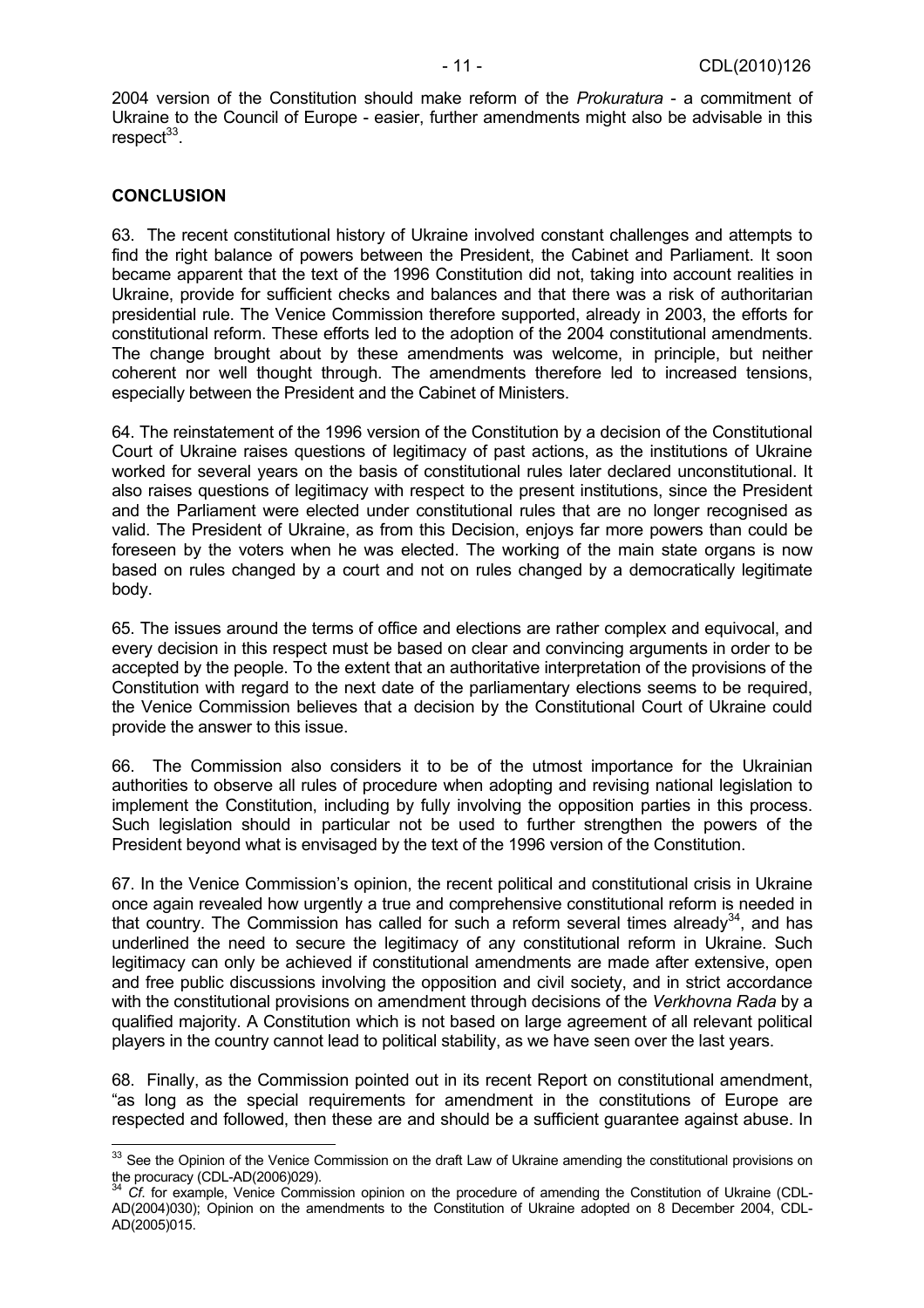2004 version of the Constitution should make reform of the *Prokuratura* - a commitment of Ukraine to the Council of Europe - easier, further amendments might also be advisable in this respect<sup>33</sup>.

#### **CONCLUSION**

 $\overline{a}$ 

63. The recent constitutional history of Ukraine involved constant challenges and attempts to find the right balance of powers between the President, the Cabinet and Parliament. It soon became apparent that the text of the 1996 Constitution did not, taking into account realities in Ukraine, provide for sufficient checks and balances and that there was a risk of authoritarian presidential rule. The Venice Commission therefore supported, already in 2003, the efforts for constitutional reform. These efforts led to the adoption of the 2004 constitutional amendments. The change brought about by these amendments was welcome, in principle, but neither coherent nor well thought through. The amendments therefore led to increased tensions, especially between the President and the Cabinet of Ministers.

64. The reinstatement of the 1996 version of the Constitution by a decision of the Constitutional Court of Ukraine raises questions of legitimacy of past actions, as the institutions of Ukraine worked for several years on the basis of constitutional rules later declared unconstitutional. It also raises questions of legitimacy with respect to the present institutions, since the President and the Parliament were elected under constitutional rules that are no longer recognised as valid. The President of Ukraine, as from this Decision, enjoys far more powers than could be foreseen by the voters when he was elected. The working of the main state organs is now based on rules changed by a court and not on rules changed by a democratically legitimate body.

65. The issues around the terms of office and elections are rather complex and equivocal, and every decision in this respect must be based on clear and convincing arguments in order to be accepted by the people. To the extent that an authoritative interpretation of the provisions of the Constitution with regard to the next date of the parliamentary elections seems to be required, the Venice Commission believes that a decision by the Constitutional Court of Ukraine could provide the answer to this issue.

66. The Commission also considers it to be of the utmost importance for the Ukrainian authorities to observe all rules of procedure when adopting and revising national legislation to implement the Constitution, including by fully involving the opposition parties in this process. Such legislation should in particular not be used to further strengthen the powers of the President beyond what is envisaged by the text of the 1996 version of the Constitution.

67. In the Venice Commission's opinion, the recent political and constitutional crisis in Ukraine once again revealed how urgently a true and comprehensive constitutional reform is needed in that country. The Commission has called for such a reform several times already $34$ , and has underlined the need to secure the legitimacy of any constitutional reform in Ukraine. Such legitimacy can only be achieved if constitutional amendments are made after extensive, open and free public discussions involving the opposition and civil society, and in strict accordance with the constitutional provisions on amendment through decisions of the *Verkhovna Rada* by a qualified majority. A Constitution which is not based on large agreement of all relevant political players in the country cannot lead to political stability, as we have seen over the last years.

68. Finally, as the Commission pointed out in its recent Report on constitutional amendment, "as long as the special requirements for amendment in the constitutions of Europe are respected and followed, then these are and should be a sufficient guarantee against abuse. In

 $33$  See the Opinion of the Venice Commission on the draft Law of Ukraine amending the constitutional provisions on the procuracy (CDL-AD(2006)029).

<sup>34</sup> *Cf*. for example, Venice Commission opinion on the procedure of amending the Constitution of Ukraine (CDL-AD(2004)030); Opinion on the amendments to the Constitution of Ukraine adopted on 8 December 2004, CDL-AD(2005)015.